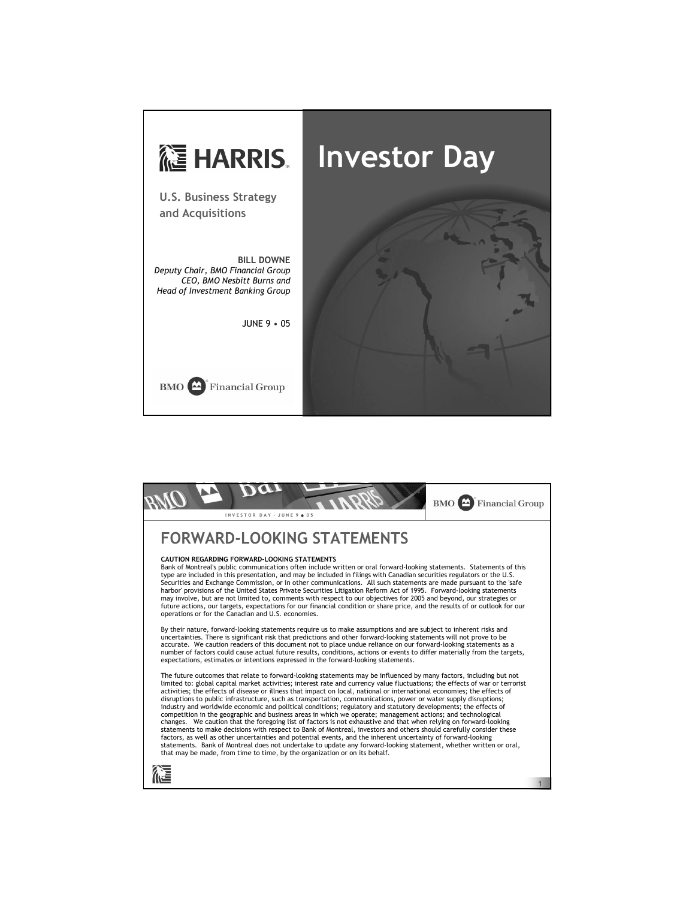

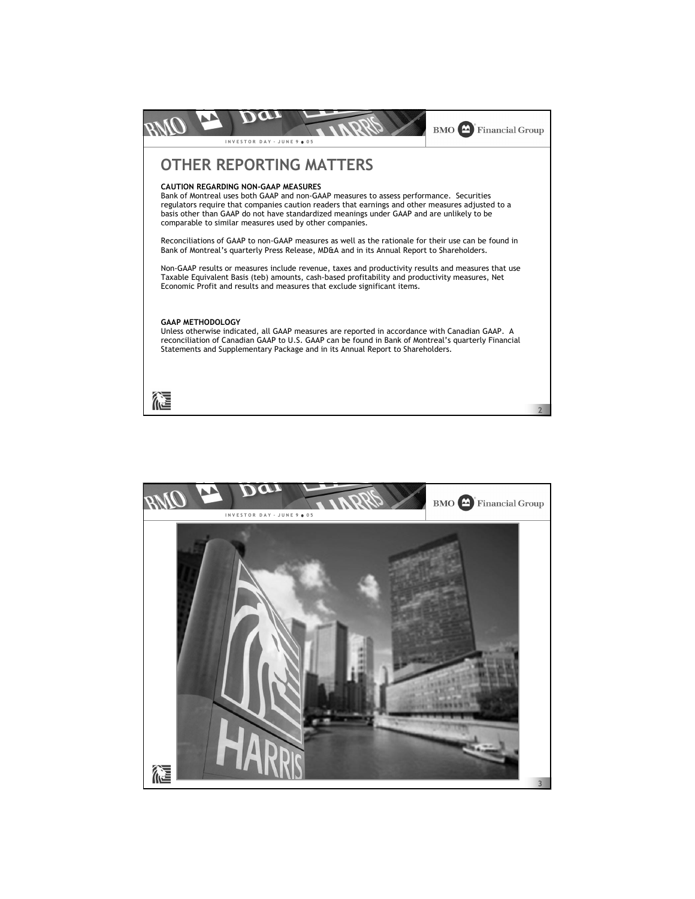

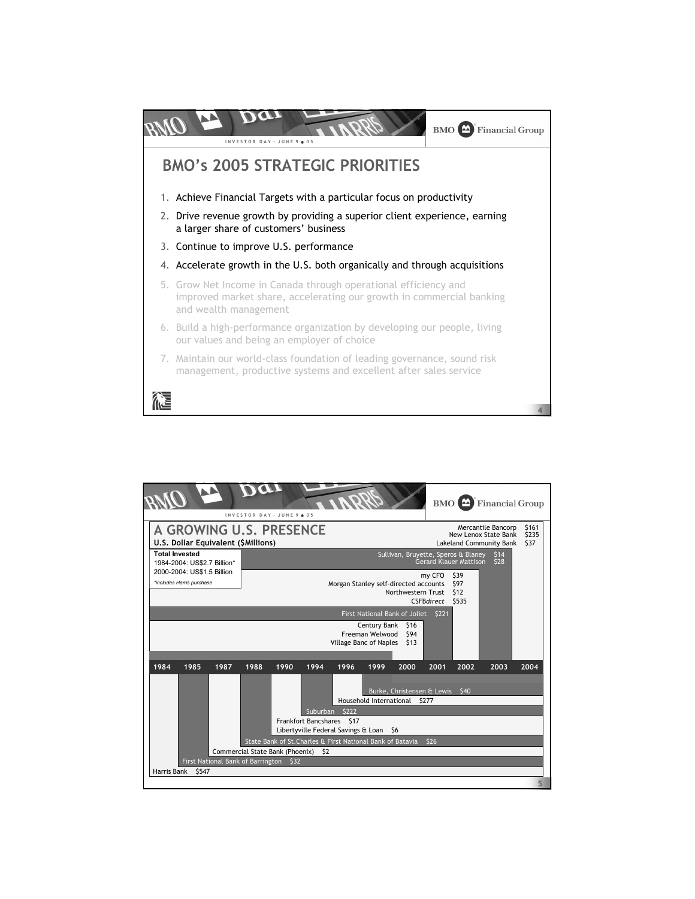

|                                                                                                                                   |       |      | INVESTOR DAY - JUNE 9 . 05                                           |      |                                                                                                                                                             |                                                                                                 |                               |                                 |                               | $BMO$ $\triangle$ | <b>Financial Group</b> |      |
|-----------------------------------------------------------------------------------------------------------------------------------|-------|------|----------------------------------------------------------------------|------|-------------------------------------------------------------------------------------------------------------------------------------------------------------|-------------------------------------------------------------------------------------------------|-------------------------------|---------------------------------|-------------------------------|-------------------|------------------------|------|
| <b>A GROWING U.S. PRESENCE</b><br>U.S. Dollar Equivalent (\$Millions)                                                             |       |      |                                                                      |      |                                                                                                                                                             | \$161<br>Mercantile Bancorp<br>New Lenox State Bank<br>\$235<br>\$37<br>Lakeland Community Bank |                               |                                 |                               |                   |                        |      |
| <b>Total Invested</b><br>Sullivan, Bruyette, Speros & Blaney<br>1984-2004: US\$2.7 Billion*<br>2000-2004: US\$1.5 Billion         |       |      |                                                                      |      | <b>Gerard Klauer Mattison</b>                                                                                                                               | \$14<br>\$28                                                                                    |                               |                                 |                               |                   |                        |      |
| *includes Harris purchase                                                                                                         |       |      |                                                                      |      |                                                                                                                                                             | Morgan Stanley self-directed accounts                                                           | Northwestern Trust            | my CFO<br><b>CSFBdirect</b>     | \$39<br>\$97<br>\$12<br>\$535 |                   |                        |      |
| First National Bank of Joliet<br><b>S221</b><br>Century Bank<br>\$16<br>\$94<br>Freeman Welwood<br>Village Banc of Naples<br>\$13 |       |      |                                                                      |      |                                                                                                                                                             |                                                                                                 |                               |                                 |                               |                   |                        |      |
| 1984                                                                                                                              | 1985  | 1987 | 1988                                                                 | 1990 | 1994                                                                                                                                                        | 1996                                                                                            | 1999                          | 2000                            | 2001                          | 2002              | 2003                   | 2004 |
| Harris Bank                                                                                                                       | \$547 |      | Commercial State Bank (Phoenix)<br>First National Bank of Barrington | \$32 | Suburban<br>Frankfort Bancshares \$17<br>Libertyville Federal Savings & Loan \$6<br>State Bank of St. Charles & First National Bank of Batavia<br><b>S2</b> | \$222                                                                                           | Household International \$277 | Burke, Christensen & Lewis \$40 | \$26                          |                   |                        |      |
|                                                                                                                                   |       |      |                                                                      |      |                                                                                                                                                             |                                                                                                 |                               |                                 |                               |                   |                        | 5    |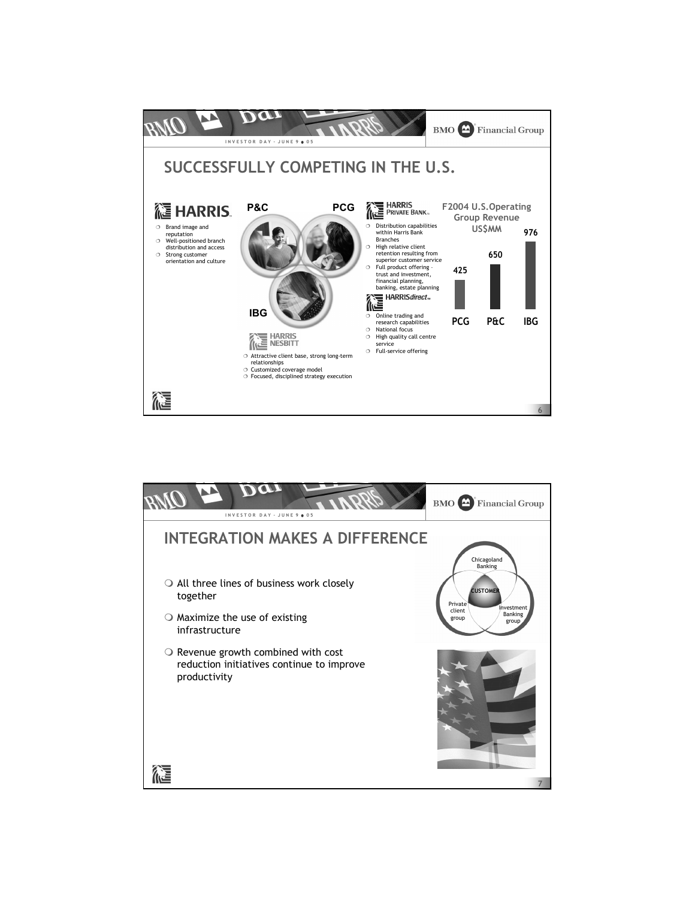

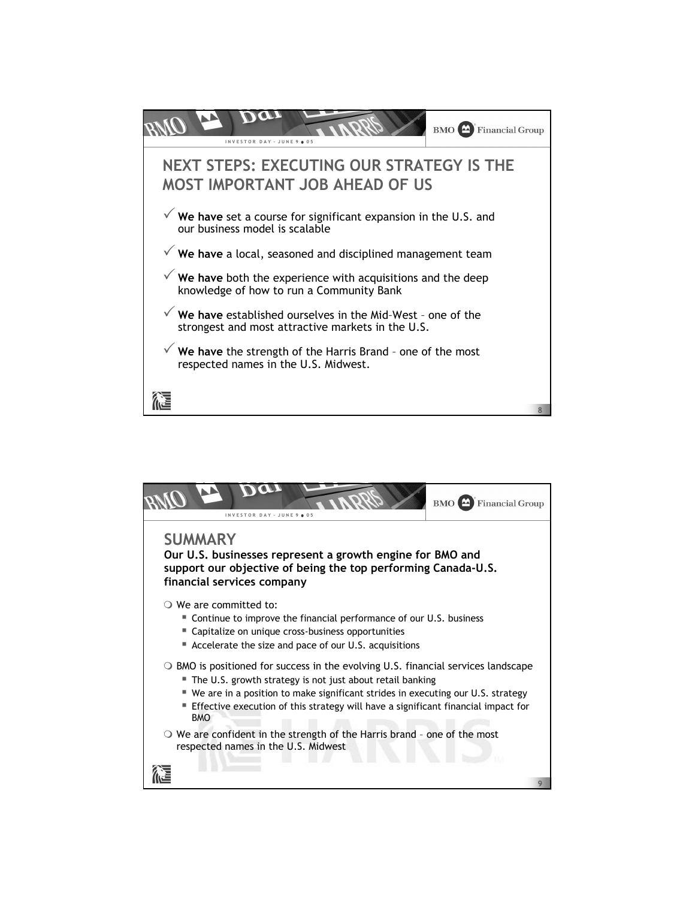

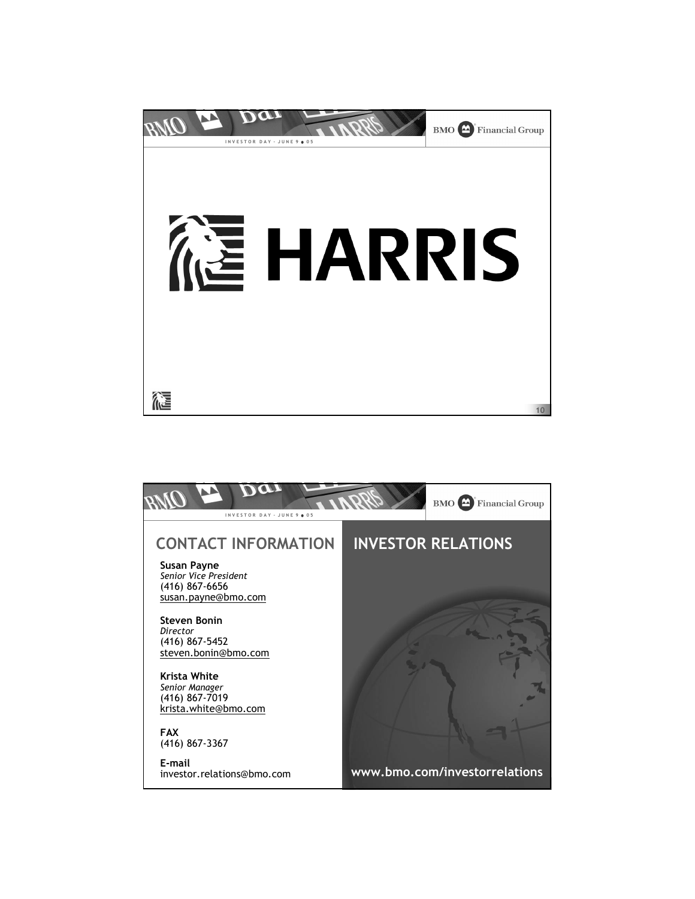

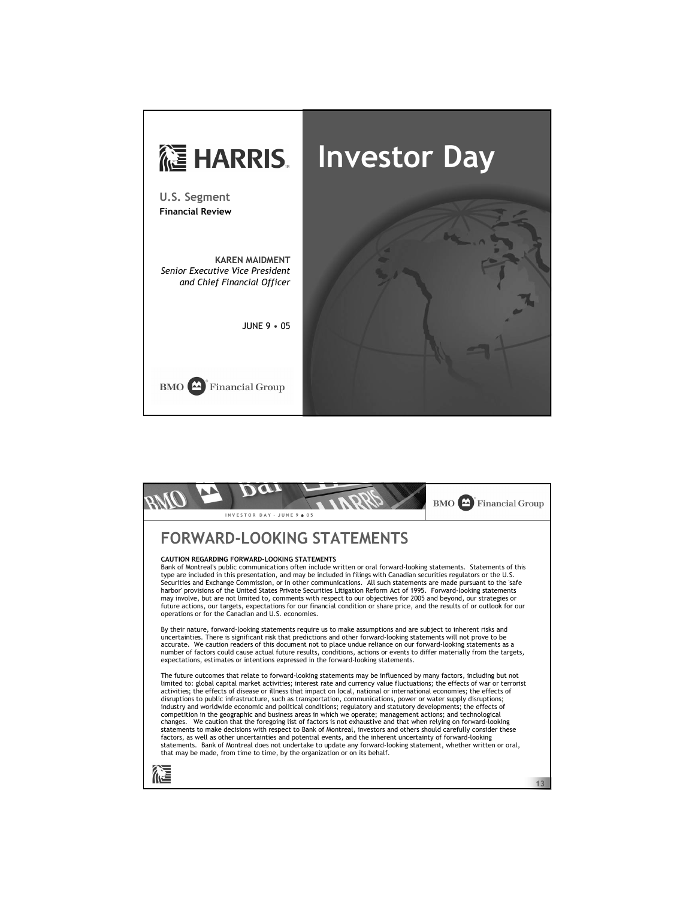

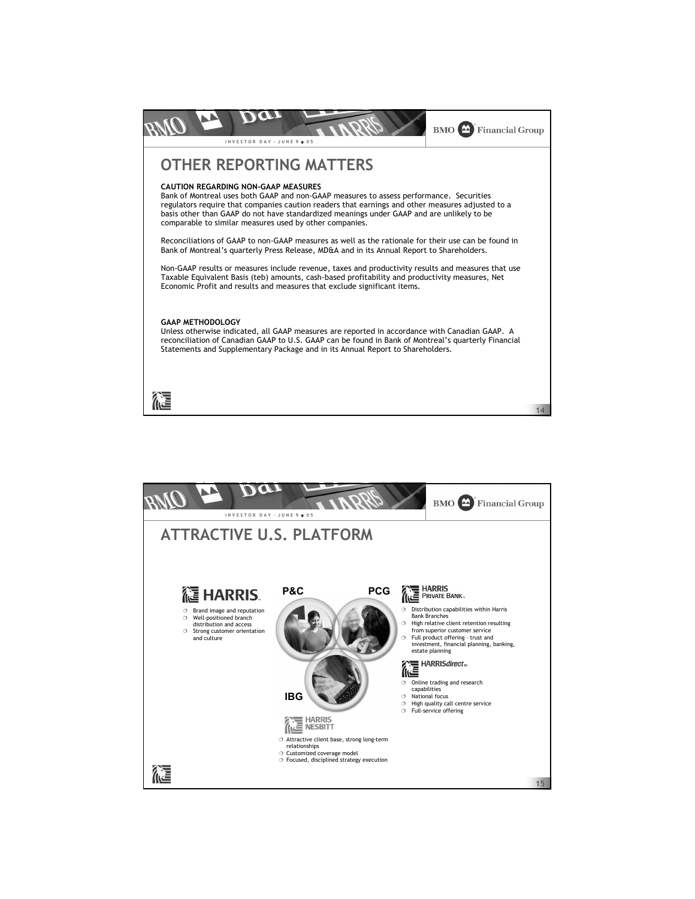

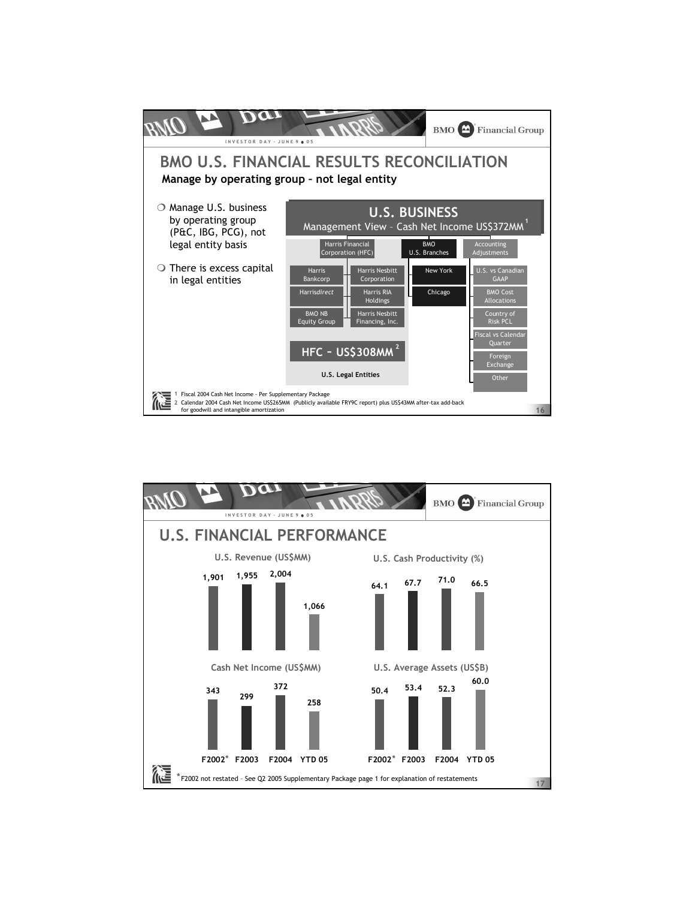

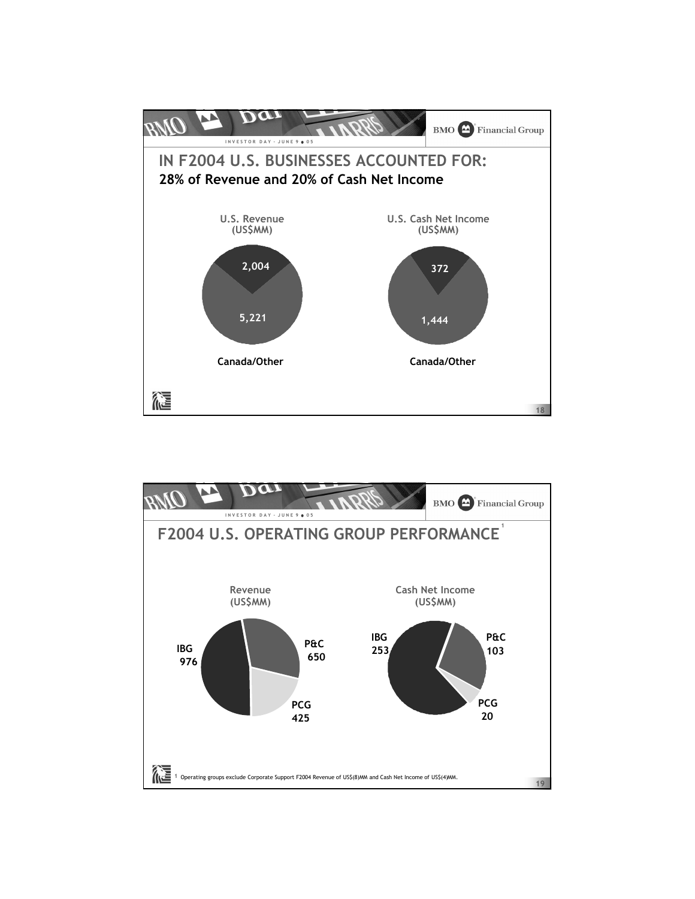

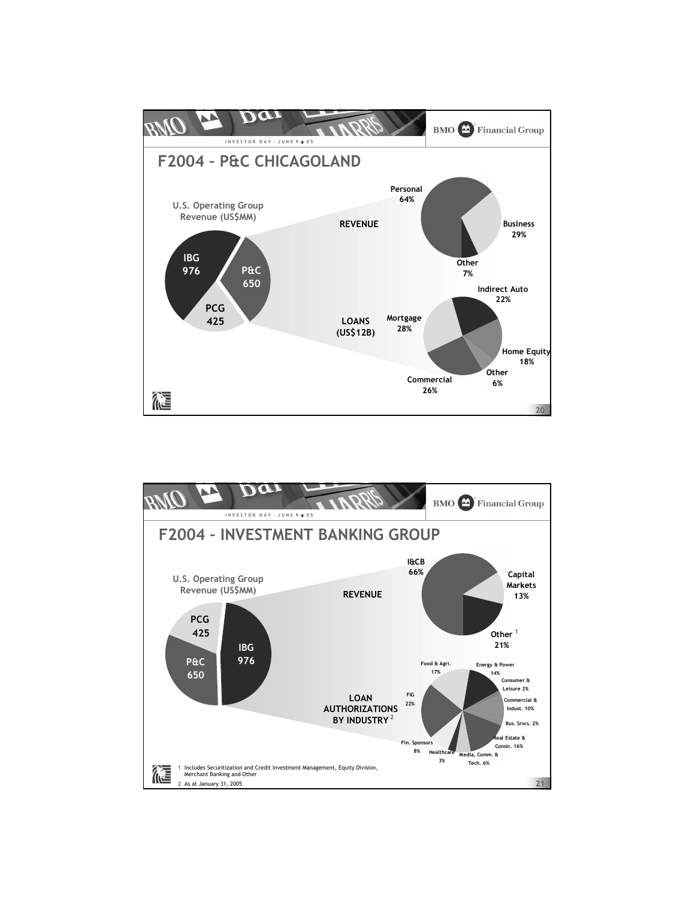

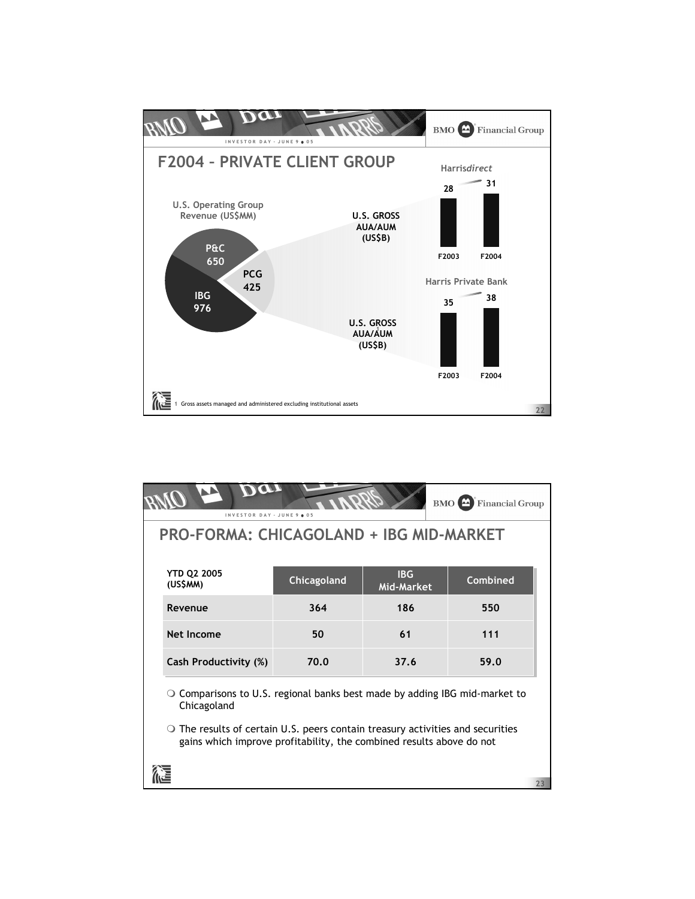

|                                | INVESTOR DAY - JUNE 9 . 05                                                                                                                                   |             |                          | BMO <sup>4</sup><br><b>Financial Group</b> |    |
|--------------------------------|--------------------------------------------------------------------------------------------------------------------------------------------------------------|-------------|--------------------------|--------------------------------------------|----|
|                                | <b>PRO-FORMA: CHICAGOLAND + IBG MID-MARKET</b>                                                                                                               |             |                          |                                            |    |
| <b>YTD Q2 2005</b><br>(US\$MM) |                                                                                                                                                              | Chicagoland | <b>IBG</b><br>Mid-Market | Combined                                   |    |
|                                | Revenue                                                                                                                                                      | 364         | 186                      | 550                                        |    |
|                                | Net Income                                                                                                                                                   | 50          | 61                       | 111                                        |    |
|                                | Cash Productivity (%)                                                                                                                                        | 70.0        | 37.6                     | 59.0                                       |    |
|                                | $\circ$ Comparisons to U.S. regional banks best made by adding IBG mid-market to<br>Chicagoland                                                              |             |                          |                                            |    |
|                                | $\circ$ The results of certain U.S. peers contain treasury activities and securities<br>gains which improve profitability, the combined results above do not |             |                          |                                            |    |
|                                |                                                                                                                                                              |             |                          |                                            | 23 |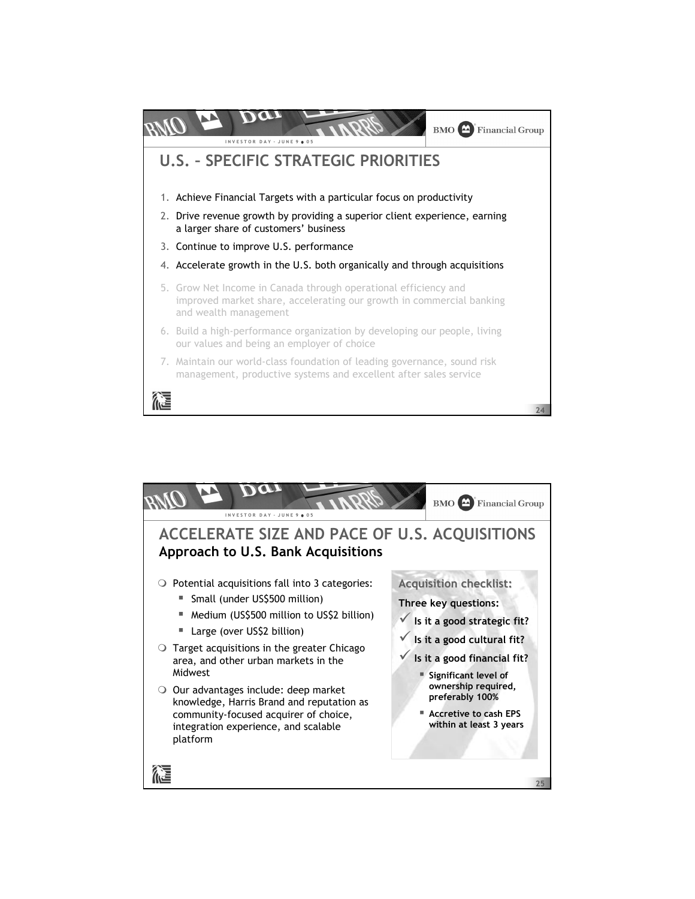

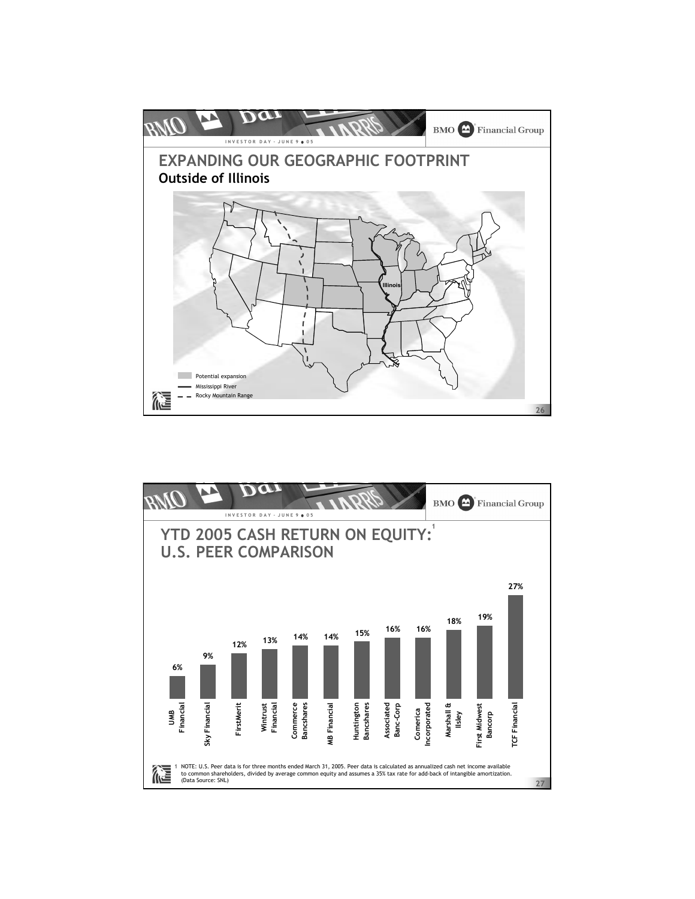

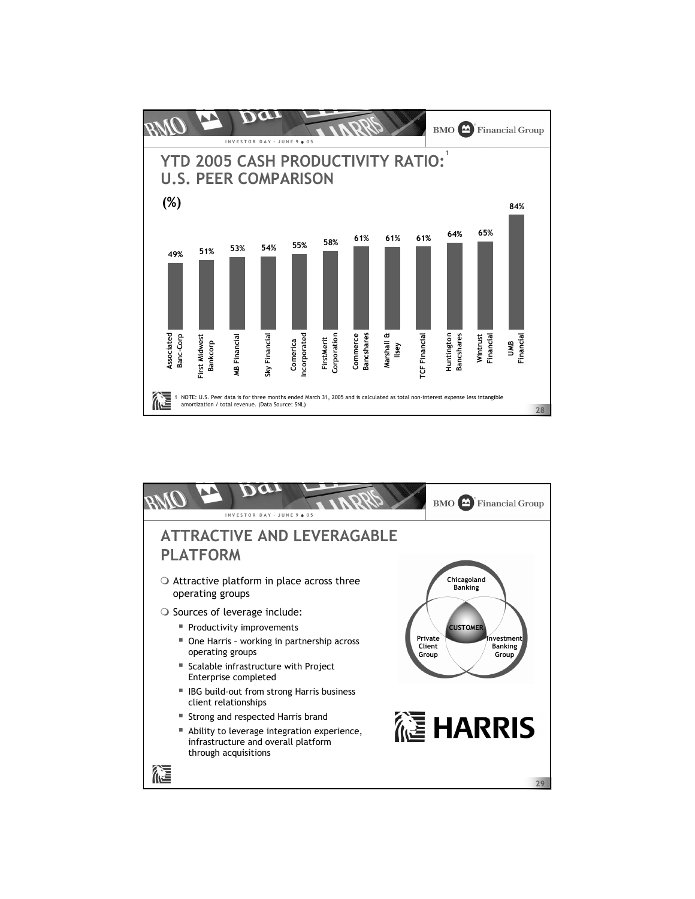

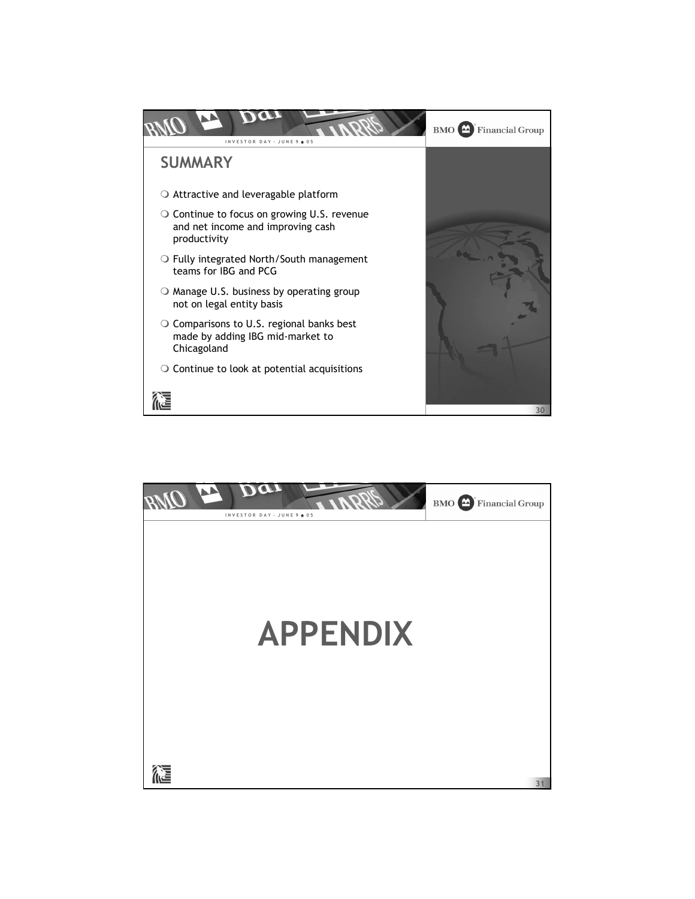

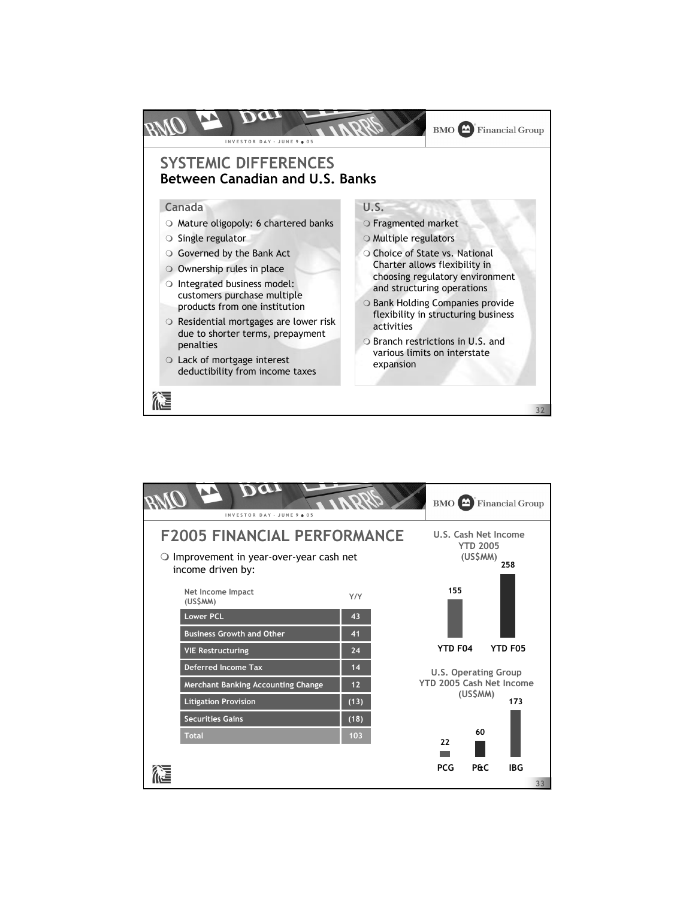

| INVESTOR DAY - JUNE 9 . 05                                                                                   |                                                            | <b>BMO</b> $\triangle$ Financial Group                              |
|--------------------------------------------------------------------------------------------------------------|------------------------------------------------------------|---------------------------------------------------------------------|
| <b>F2005 FINANCIAL PERFORMANCE</b><br>Improvement in year-over-year cash net<br>$\circ$<br>income driven by: | U.S. Cash Net Income<br><b>YTD 2005</b><br>(US\$MM)<br>258 |                                                                     |
| Net Income Impact<br>(US\$MM)<br><b>Lower PCL</b><br><b>Business Growth and Other</b>                        | Y/Y<br>43<br>41                                            | 155                                                                 |
| <b>VIE Restructuring</b>                                                                                     | 24                                                         | <b>YTD F04</b><br><b>YTD F05</b>                                    |
| <b>Deferred Income Tax</b><br><b>Merchant Banking Accounting Change</b>                                      | 14<br>12                                                   | <b>U.S. Operating Group</b><br>YTD 2005 Cash Net Income<br>(US\$MM) |
| <b>Litigation Provision</b><br><b>Securities Gains</b>                                                       | (13)<br>(18)                                               | 173                                                                 |
| <b>Total</b>                                                                                                 | 103                                                        | 60<br>22                                                            |
|                                                                                                              |                                                            | <b>PCG</b><br><b>P&amp;C</b><br><b>IBG</b><br>33                    |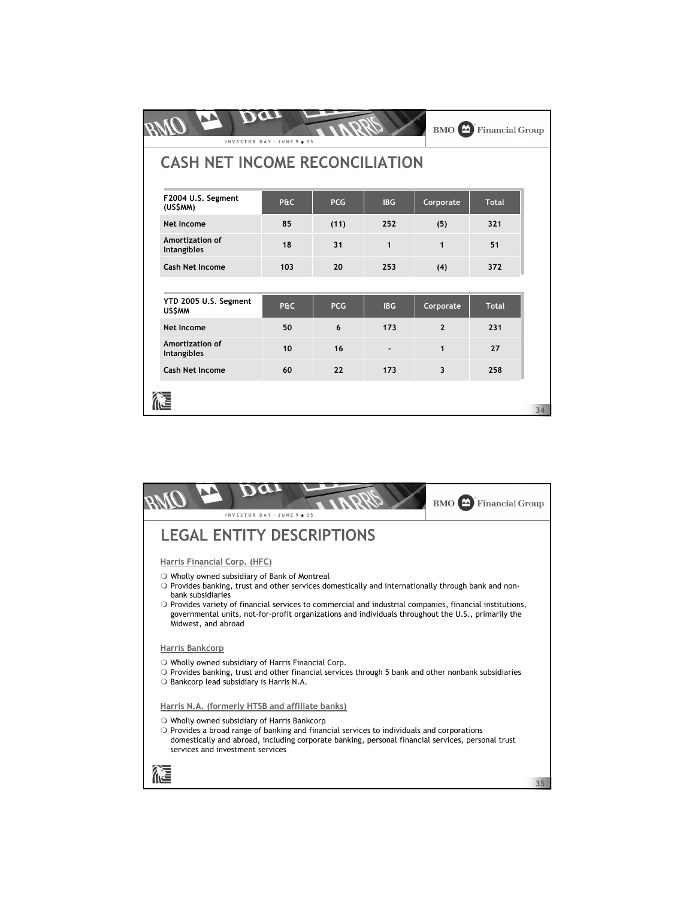|                                        | INVESTOR DAY - JUNE 9 . 05 |            |              |                          | <b>BMO</b> $\sum$ Financial Group |    |  |  |
|----------------------------------------|----------------------------|------------|--------------|--------------------------|-----------------------------------|----|--|--|
| <b>CASH NET INCOME RECONCILIATION</b>  |                            |            |              |                          |                                   |    |  |  |
| F2004 U.S. Segment<br>(US\$MM)         | P&C                        | <b>PCG</b> | <b>IBG</b>   | Corporate                | <b>Total</b>                      |    |  |  |
| Net Income                             | 85                         | (11)       | 252          | (5)                      | 321                               |    |  |  |
| Amortization of<br><b>Intangibles</b>  | 18                         | 31         | $\mathbf{1}$ | $\mathbf{1}$             | 51                                |    |  |  |
| <b>Cash Net Income</b>                 | 103                        | 20         | 253          | (4)                      | 372                               |    |  |  |
|                                        |                            |            |              |                          |                                   |    |  |  |
| YTD 2005 U.S. Segment<br><b>US\$MM</b> | P&C                        | <b>PCG</b> | <b>IBG</b>   | Corporate                | <b>Total</b>                      |    |  |  |
| <b>Net Income</b>                      | 50                         | 6          | 173          | $\overline{\phantom{a}}$ | 231                               |    |  |  |
| Amortization of<br>Intangibles         | 10                         | 16         |              | $\mathbf{1}$             | 27                                |    |  |  |
| Cash Net Income                        | 60                         | 22         | 173          | $\overline{\mathbf{3}}$  | 258                               |    |  |  |
|                                        |                            |            |              |                          |                                   | 34 |  |  |